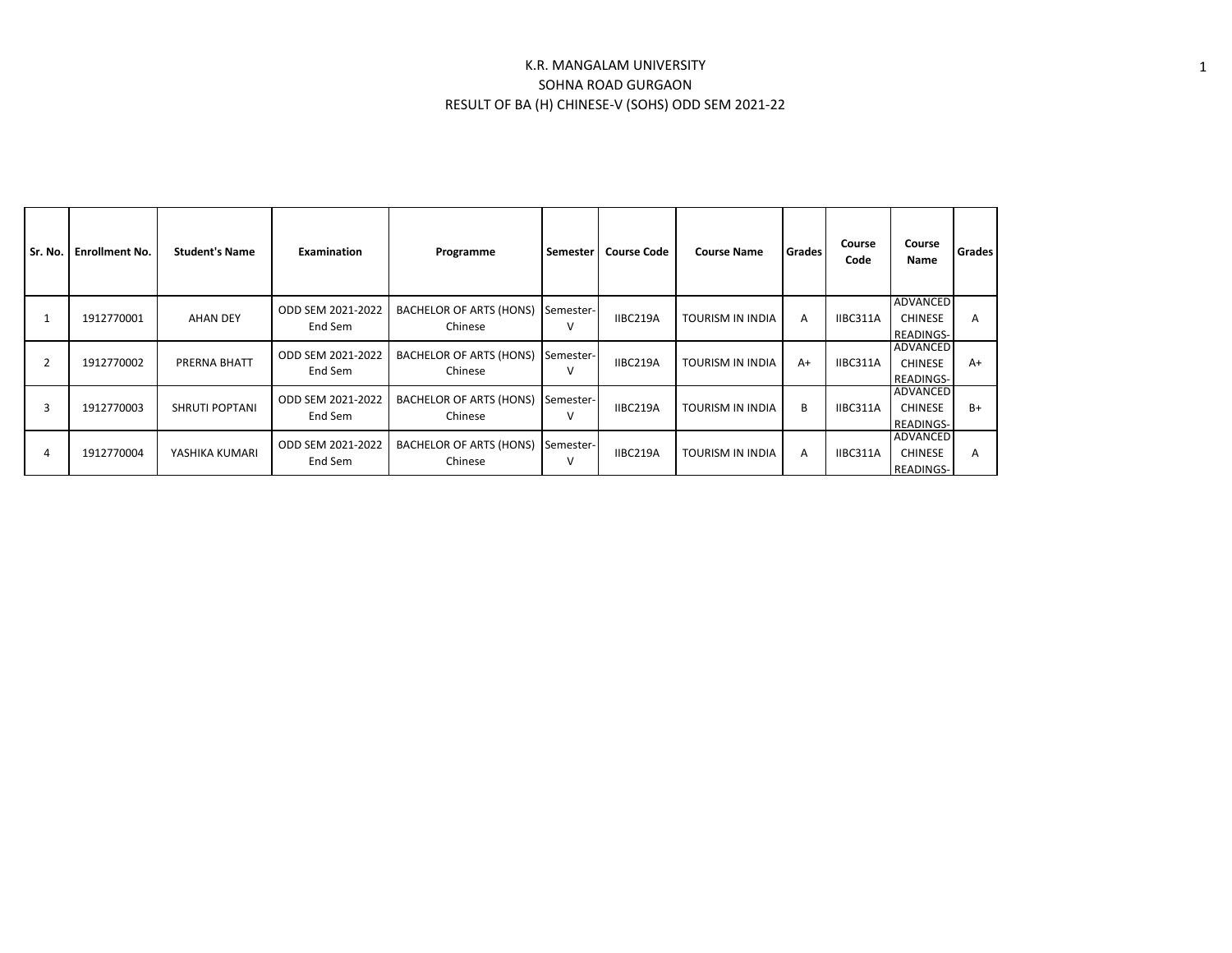## K.R. MANGALAM UNIVERSITY SOHNA ROAD GURGAON RESULT OF BA (H) CHINESE-V (SOHS) ODD SEM 2021-22

| Sr. No. | <b>Enrollment No.</b> | <b>Student's Name</b> | <b>Examination</b>           | Programme                                 | Semester  | <b>Course Code</b> | <b>Course Name</b>      | <b>Grades</b> | Course<br>Code | Course<br>Name                                        | Grades |
|---------|-----------------------|-----------------------|------------------------------|-------------------------------------------|-----------|--------------------|-------------------------|---------------|----------------|-------------------------------------------------------|--------|
|         | 1912770001            | <b>AHAN DEY</b>       | ODD SEM 2021-2022<br>End Sem | <b>BACHELOR OF ARTS (HONS)</b><br>Chinese | Semester- | IIBC219A           | <b>TOURISM IN INDIA</b> | A             | IIBC311A       | ADVANCED<br><b>CHINESE</b><br>READINGS-               | А      |
| 2       | 1912770002            | PRERNA BHATT          | ODD SEM 2021-2022<br>End Sem | <b>BACHELOR OF ARTS (HONS)</b><br>Chinese | Semester- | IIBC219A           | <b>TOURISM IN INDIA</b> | $A+$          | IIBC311A       | <b>ADVANCED</b><br><b>CHINESE</b><br><b>READINGS-</b> | A+     |
| 3       | 1912770003            | <b>SHRUTI POPTANI</b> | ODD SEM 2021-2022<br>End Sem | <b>BACHELOR OF ARTS (HONS)</b><br>Chinese | Semester- | IIBC219A           | <b>TOURISM IN INDIA</b> | B             | IIBC311A       | <b>ADVANCED</b><br><b>CHINESE</b><br><b>READINGS-</b> | $B+$   |
| 4       | 1912770004            | YASHIKA KUMARI        | ODD SEM 2021-2022<br>End Sem | <b>BACHELOR OF ARTS (HONS)</b><br>Chinese | Semester- | IIBC219A           | <b>TOURISM IN INDIA</b> | A             | IIBC311A       | ADVANCED<br><b>CHINESE</b><br>READINGS-               | А      |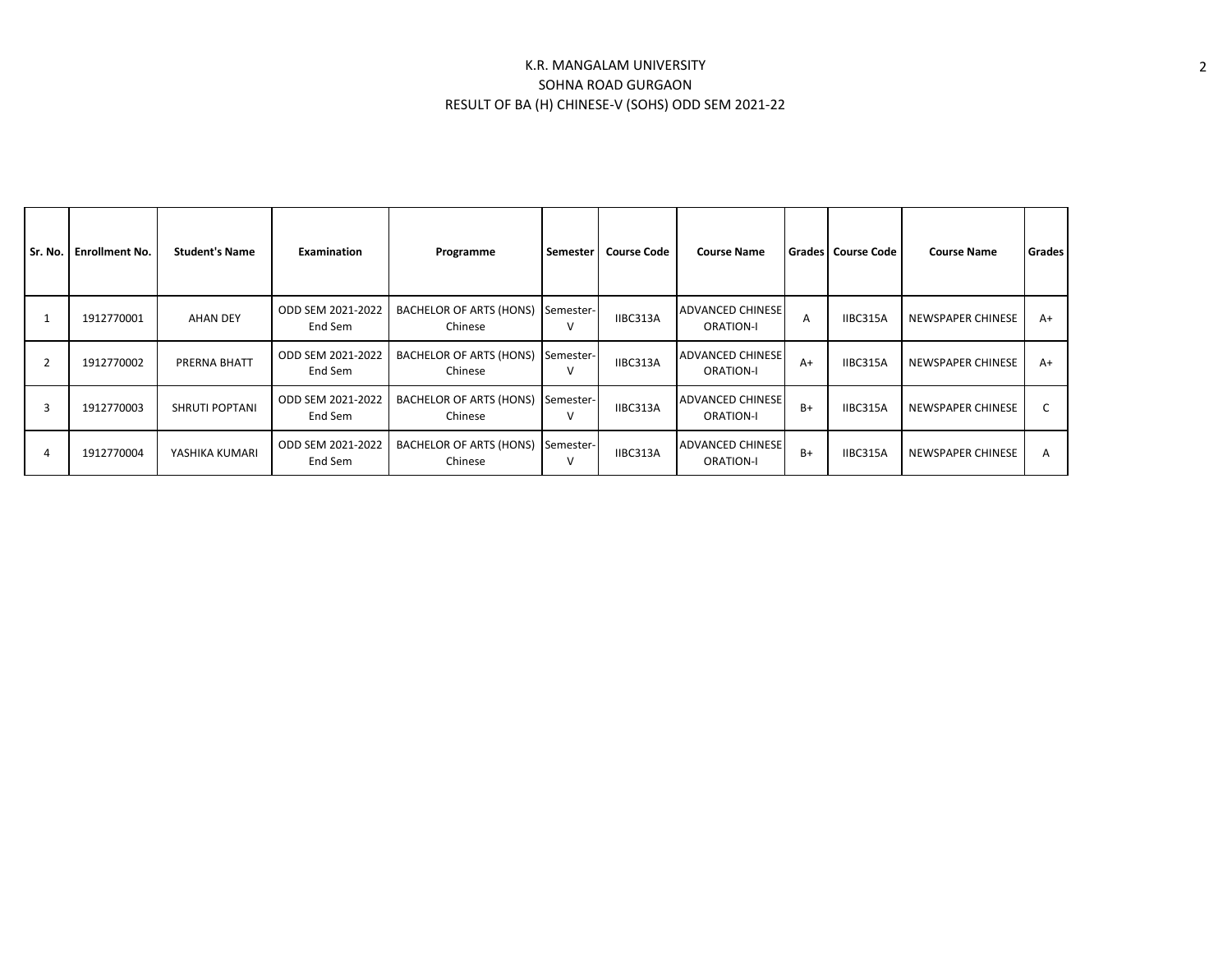## K.R. MANGALAM UNIVERSITY SOHNA ROAD GURGAON RESULT OF BA (H) CHINESE-V (SOHS) ODD SEM 2021-22

| Sr. No. I      | <b>Enrollment No.</b> | <b>Student's Name</b> | <b>Examination</b>             | Programme                                    | Semester  | <b>Course Code</b> | <b>Course Name</b>                          |      | <b>Grades   Course Code</b> | <b>Course Name</b> | <b>Grades</b> |
|----------------|-----------------------|-----------------------|--------------------------------|----------------------------------------------|-----------|--------------------|---------------------------------------------|------|-----------------------------|--------------------|---------------|
|                | 1912770001            | <b>AHAN DEY</b>       | ODD SEM 2021-2022<br>End Sem   | BACHELOR OF ARTS (HONS)<br>Chinese           | Semester- | IIBC313A           | <b>ADVANCED CHINESE</b><br><b>ORATION-I</b> | A    | IIBC315A                    | NEWSPAPER CHINESE  | $A+$          |
| $\overline{2}$ | 1912770002            | PRERNA BHATT          | ODD SEM 2021-2022  <br>End Sem | BACHELOR OF ARTS (HONS) Semester-<br>Chinese |           | IIBC313A           | <b>ADVANCED CHINESE</b><br><b>ORATION-I</b> | $A+$ | IIBC315A                    | NEWSPAPER CHINESE  | $A+$          |
| 3              | 1912770003            | <b>SHRUTI POPTANI</b> | ODD SEM 2021-2022<br>End Sem   | BACHELOR OF ARTS (HONS) Semester-<br>Chinese |           | IIBC313A           | <b>ADVANCED CHINESE</b><br><b>ORATION-I</b> | $B+$ | IIBC315A                    | NEWSPAPER CHINESE  |               |
|                | 1912770004            | YASHIKA KUMARI        | ODD SEM 2021-2022<br>End Sem   | <b>BACHELOR OF ARTS (HONS)</b><br>Chinese    | Semester- | IIBC313A           | <b>ADVANCED CHINESE</b><br><b>ORATION-I</b> | B+   | IIBC315A                    | NEWSPAPER CHINESE  | A             |